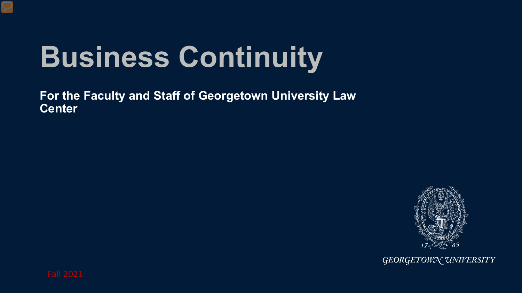# **Business Continuity**

**For the Faculty and Staff of Georgetown University Law Center**



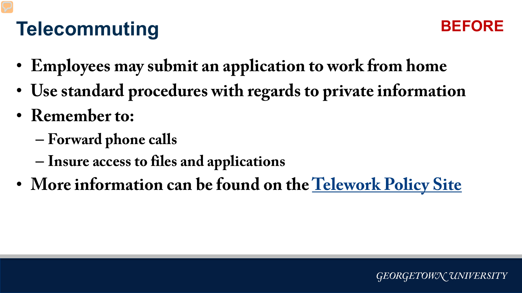# **Telecommuting**



- **Employees may submit an application to work from home**
- **Use standard procedures with regards to private information**
- **Remember to:**
	- **Forward phone calls**
	- **Insure access to files and applications**
- **More information can be found on the [Telework Policy Site](https://hr.georgetown.edu/telework/)**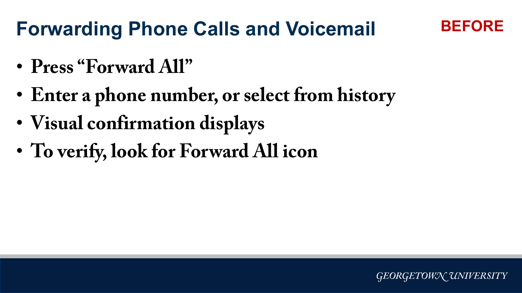### **Forwarding Phone Calls and Voicemail**

- **Press "Forward All"**
- **Enter a phone number, or select from history**
- **Visual confirmation displays**
- **To verify, look for Forward All icon**

**BEFORE**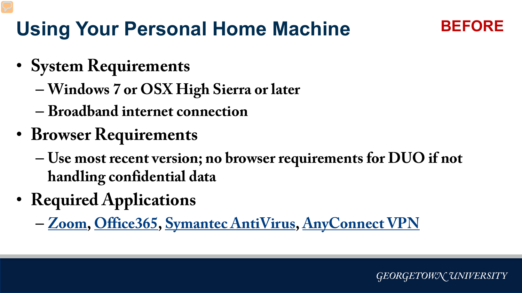# **Using Your Personal Home Machine**

**BEFORE**

- **System Requirements**
	- **Windows 7 or OSX High Sierra or later**
	- **Broadband internet connection**
- **Browser Requirements**
	- **Use most recent version; no browser requirements for DUO if not handling confidential data**
- **Required Applications**
	- **[Zoom,](http://zoom.georgetown.edu/) [Office365,](https://www.law.georgetown.edu/your-life-career/campus-services/information-systems-technology/supported-tools-and-training/office-365/) [Symantec AntiVirus](https://georgetown.onthehub.com/WebStore/Welcome.aspx), [AnyConnect VPN](https://uis.georgetown.edu/security/vpn/faq/)**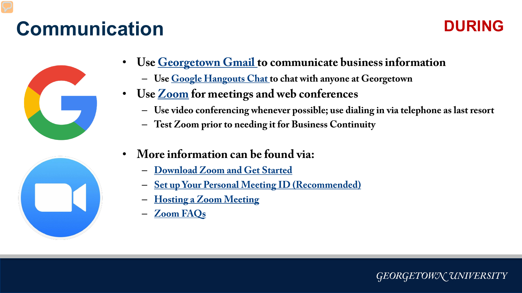# **Communication**

#### **DURING**





- **Use [Georgetown Gmail](https://apps.georgetown.edu/) to communicate business information**
	- **Use [Google Hangouts Chat t](https://chat.google.com/)o chat with anyone at Georgetown**
- **Use [Zoom](https://www.law.georgetown.edu/your-life-career/campus-services/information-systems-technology/supported-tools-and-training/instructional-and-academic-technologies/zoom-resources/) for meetings and web conferences**
	- **Use video conferencing whenever possible; use dialing in via telephone as last resort**
	- **Test Zoom prior to needing it for Business Continuity**
- **More information can be found via:**
	- **[Download Zoom and Get Started](https://georgetown.zoom.us/)**
	- **[Set up Your Personal Meeting ID \(Recommended\)](https://support.zoom.us/hc/en-us/articles/201362843-What-is-Personal-Meeting-ID-PMI-and-Personal-Link-)**
	- **[Hosting a Zoom Meeting](https://uis.georgetown.edu/zoom/host/)**
	- **[Zoom FAQs](https://uis.georgetown.edu/zoom/faq/)**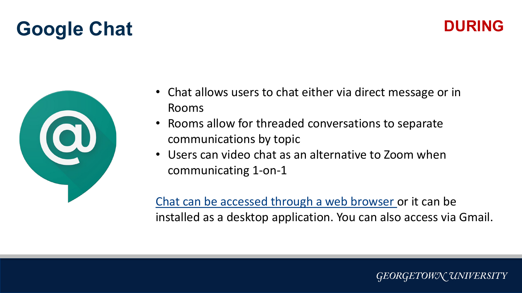### **Google Chat DURING**





- Chat allows users to chat either via direct message or in Rooms
- Rooms allow for threaded conversations to separate communications by topic
- Users can video chat as an alternative to Zoom when communicating 1-on-1

[Chat can be accessed through a web browser](http://chat.google.com/) or it can be installed as a desktop application. You can also access via Gmail.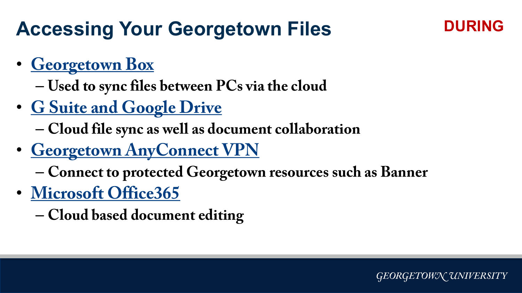## **Accessing Your Georgetown Files**

#### **DURING**

- **[Georgetown Box](https://box.georgetown.edu/)**
	- **Used to sync files between PCs via the cloud**
- **[G Suite and Google Drive](https://apps.georgetown.edu/)**
	- **Cloud file sync as well as document collaboration**
- **[Georgetown AnyConnect VPN](https://uis.georgetown.edu/security/vpn/faq/)**
	- **Connect to protected Georgetown resources such as Banner**
- **[Microsoft Office365](https://www.law.georgetown.edu/your-life-career/campus-services/information-systems-technology/supported-tools-and-training/office-365/)**
	- **Cloud based document editing**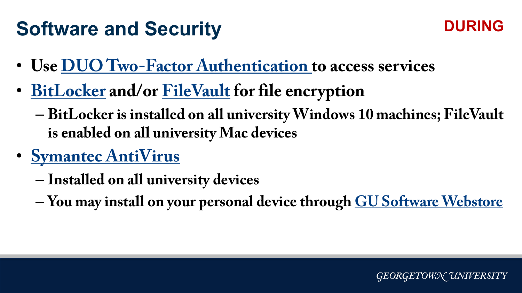# **Software and Security**



- **Use [DUO Two-Factor Authentication](https://apps.georgetown.edu/duo) to access services**
- **[BitLocker](https://docs.microsoft.com/en-us/windows/security/information-protection/bitlocker/bitlocker-overview) and/or [FileVault](https://support.apple.com/en-us/HT204837) for file encryption**
	- **BitLocker is installed on all university Windows 10 machines; FileVault is enabled on all university Mac devices**
- **[Symantec AntiVirus](https://www.symantec.com/products/endpoint-security)**
	- **Installed on all university devices**
	- **You may install on your personal device through [GU Software Webstore](https://georgetown.onthehub.com/WebStore/Welcome.aspx)**